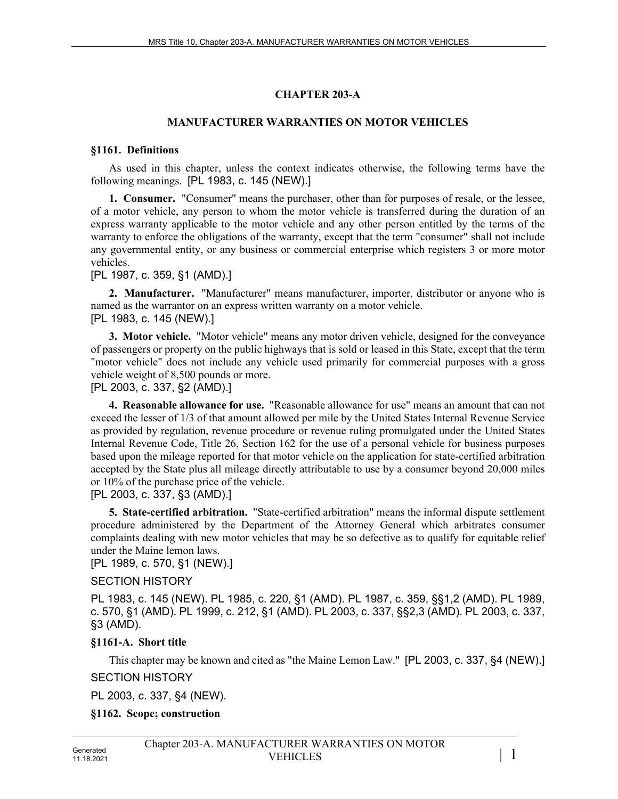## **CHAPTER 203-A**

## **MANUFACTURER WARRANTIES ON MOTOR VEHICLES**

#### **§1161. Definitions**

As used in this chapter, unless the context indicates otherwise, the following terms have the following meanings. [PL 1983, c. 145 (NEW).]

**1. Consumer.** "Consumer" means the purchaser, other than for purposes of resale, or the lessee, of a motor vehicle, any person to whom the motor vehicle is transferred during the duration of an express warranty applicable to the motor vehicle and any other person entitled by the terms of the warranty to enforce the obligations of the warranty, except that the term "consumer" shall not include any governmental entity, or any business or commercial enterprise which registers 3 or more motor vehicles.

[PL 1987, c. 359, §1 (AMD).]

**2. Manufacturer.** "Manufacturer" means manufacturer, importer, distributor or anyone who is named as the warrantor on an express written warranty on a motor vehicle. [PL 1983, c. 145 (NEW).]

**3. Motor vehicle.** "Motor vehicle" means any motor driven vehicle, designed for the conveyance of passengers or property on the public highways that is sold or leased in this State, except that the term "motor vehicle" does not include any vehicle used primarily for commercial purposes with a gross vehicle weight of 8,500 pounds or more.

[PL 2003, c. 337, §2 (AMD).]

**4. Reasonable allowance for use.** "Reasonable allowance for use" means an amount that can not exceed the lesser of 1/3 of that amount allowed per mile by the United States Internal Revenue Service as provided by regulation, revenue procedure or revenue ruling promulgated under the United States Internal Revenue Code, Title 26, Section 162 for the use of a personal vehicle for business purposes based upon the mileage reported for that motor vehicle on the application for state-certified arbitration accepted by the State plus all mileage directly attributable to use by a consumer beyond 20,000 miles or 10% of the purchase price of the vehicle.

[PL 2003, c. 337, §3 (AMD).]

**5. State-certified arbitration.** "State-certified arbitration" means the informal dispute settlement procedure administered by the Department of the Attorney General which arbitrates consumer complaints dealing with new motor vehicles that may be so defective as to qualify for equitable relief under the Maine lemon laws.

[PL 1989, c. 570, §1 (NEW).]

SECTION HISTORY

PL 1983, c. 145 (NEW). PL 1985, c. 220, §1 (AMD). PL 1987, c. 359, §§1,2 (AMD). PL 1989, c. 570, §1 (AMD). PL 1999, c. 212, §1 (AMD). PL 2003, c. 337, §§2,3 (AMD). PL 2003, c. 337, §3 (AMD).

## **§1161-A. Short title**

This chapter may be known and cited as "the Maine Lemon Law." [PL 2003, c. 337, §4 (NEW).]

SECTION HISTORY

PL 2003, c. 337, §4 (NEW).

**§1162. Scope; construction**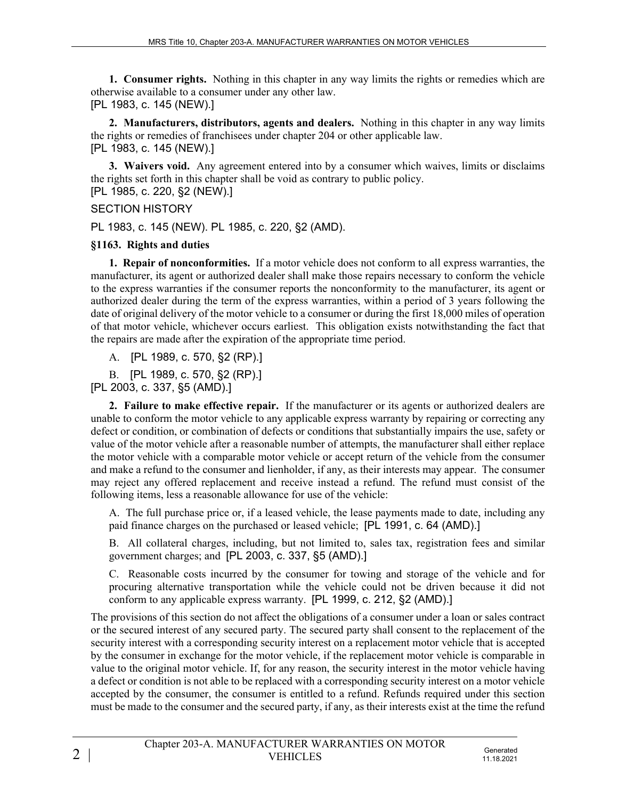**1. Consumer rights.** Nothing in this chapter in any way limits the rights or remedies which are otherwise available to a consumer under any other law. [PL 1983, c. 145 (NEW).]

**2. Manufacturers, distributors, agents and dealers.** Nothing in this chapter in any way limits the rights or remedies of franchisees under chapter 204 or other applicable law. [PL 1983, c. 145 (NEW).]

**3. Waivers void.** Any agreement entered into by a consumer which waives, limits or disclaims the rights set forth in this chapter shall be void as contrary to public policy. [PL 1985, c. 220, §2 (NEW).]

SECTION HISTORY

PL 1983, c. 145 (NEW). PL 1985, c. 220, §2 (AMD).

## **§1163. Rights and duties**

**1. Repair of nonconformities.** If a motor vehicle does not conform to all express warranties, the manufacturer, its agent or authorized dealer shall make those repairs necessary to conform the vehicle to the express warranties if the consumer reports the nonconformity to the manufacturer, its agent or authorized dealer during the term of the express warranties, within a period of 3 years following the date of original delivery of the motor vehicle to a consumer or during the first 18,000 miles of operation of that motor vehicle, whichever occurs earliest. This obligation exists notwithstanding the fact that the repairs are made after the expiration of the appropriate time period.

A. [PL 1989, c. 570, §2 (RP).]

B. [PL 1989, c. 570, §2 (RP).]

[PL 2003, c. 337, §5 (AMD).]

**2. Failure to make effective repair.** If the manufacturer or its agents or authorized dealers are unable to conform the motor vehicle to any applicable express warranty by repairing or correcting any defect or condition, or combination of defects or conditions that substantially impairs the use, safety or value of the motor vehicle after a reasonable number of attempts, the manufacturer shall either replace the motor vehicle with a comparable motor vehicle or accept return of the vehicle from the consumer and make a refund to the consumer and lienholder, if any, as their interests may appear. The consumer may reject any offered replacement and receive instead a refund. The refund must consist of the following items, less a reasonable allowance for use of the vehicle:

A. The full purchase price or, if a leased vehicle, the lease payments made to date, including any paid finance charges on the purchased or leased vehicle; [PL 1991, c. 64 (AMD).]

B. All collateral charges, including, but not limited to, sales tax, registration fees and similar government charges; and [PL 2003, c. 337, §5 (AMD).]

C. Reasonable costs incurred by the consumer for towing and storage of the vehicle and for procuring alternative transportation while the vehicle could not be driven because it did not conform to any applicable express warranty. [PL 1999, c. 212, §2 (AMD).]

The provisions of this section do not affect the obligations of a consumer under a loan or sales contract or the secured interest of any secured party. The secured party shall consent to the replacement of the security interest with a corresponding security interest on a replacement motor vehicle that is accepted by the consumer in exchange for the motor vehicle, if the replacement motor vehicle is comparable in value to the original motor vehicle. If, for any reason, the security interest in the motor vehicle having a defect or condition is not able to be replaced with a corresponding security interest on a motor vehicle accepted by the consumer, the consumer is entitled to a refund. Refunds required under this section must be made to the consumer and the secured party, if any, as their interests exist at the time the refund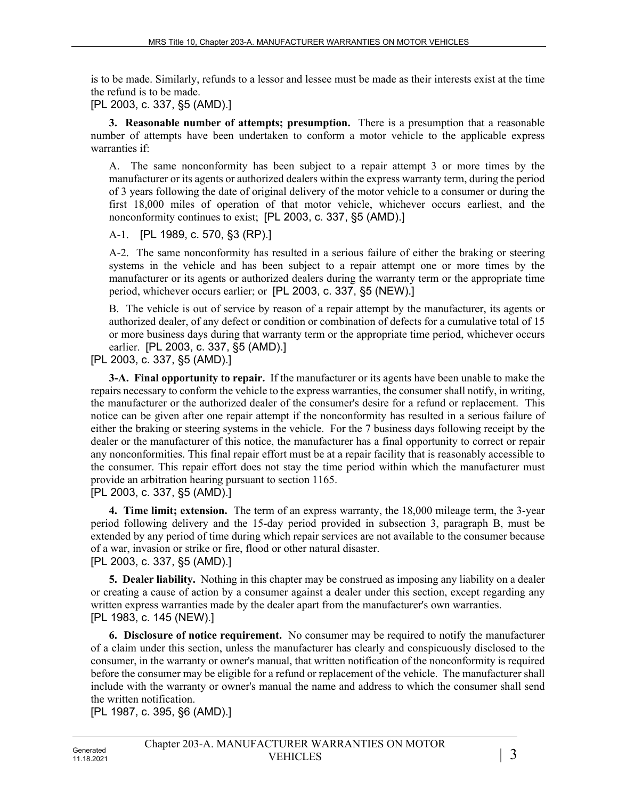is to be made. Similarly, refunds to a lessor and lessee must be made as their interests exist at the time the refund is to be made.

[PL 2003, c. 337, §5 (AMD).]

**3. Reasonable number of attempts; presumption.** There is a presumption that a reasonable number of attempts have been undertaken to conform a motor vehicle to the applicable express warranties if:

A. The same nonconformity has been subject to a repair attempt 3 or more times by the manufacturer or its agents or authorized dealers within the express warranty term, during the period of 3 years following the date of original delivery of the motor vehicle to a consumer or during the first 18,000 miles of operation of that motor vehicle, whichever occurs earliest, and the nonconformity continues to exist; [PL 2003, c. 337, §5 (AMD).]

A-1. [PL 1989, c. 570, §3 (RP).]

A-2. The same nonconformity has resulted in a serious failure of either the braking or steering systems in the vehicle and has been subject to a repair attempt one or more times by the manufacturer or its agents or authorized dealers during the warranty term or the appropriate time period, whichever occurs earlier; or [PL 2003, c. 337, §5 (NEW).]

B. The vehicle is out of service by reason of a repair attempt by the manufacturer, its agents or authorized dealer, of any defect or condition or combination of defects for a cumulative total of 15 or more business days during that warranty term or the appropriate time period, whichever occurs earlier. [PL 2003, c. 337, §5 (AMD).]

[PL 2003, c. 337, §5 (AMD).]

**3-A. Final opportunity to repair.** If the manufacturer or its agents have been unable to make the repairs necessary to conform the vehicle to the express warranties, the consumer shall notify, in writing, the manufacturer or the authorized dealer of the consumer's desire for a refund or replacement. This notice can be given after one repair attempt if the nonconformity has resulted in a serious failure of either the braking or steering systems in the vehicle. For the 7 business days following receipt by the dealer or the manufacturer of this notice, the manufacturer has a final opportunity to correct or repair any nonconformities. This final repair effort must be at a repair facility that is reasonably accessible to the consumer. This repair effort does not stay the time period within which the manufacturer must provide an arbitration hearing pursuant to section 1165. [PL 2003, c. 337, §5 (AMD).]

**4. Time limit; extension.** The term of an express warranty, the 18,000 mileage term, the 3-year period following delivery and the 15-day period provided in subsection 3, paragraph B, must be extended by any period of time during which repair services are not available to the consumer because of a war, invasion or strike or fire, flood or other natural disaster.

## [PL 2003, c. 337, §5 (AMD).]

**5. Dealer liability.** Nothing in this chapter may be construed as imposing any liability on a dealer or creating a cause of action by a consumer against a dealer under this section, except regarding any written express warranties made by the dealer apart from the manufacturer's own warranties. [PL 1983, c. 145 (NEW).]

**6. Disclosure of notice requirement.** No consumer may be required to notify the manufacturer of a claim under this section, unless the manufacturer has clearly and conspicuously disclosed to the consumer, in the warranty or owner's manual, that written notification of the nonconformity is required before the consumer may be eligible for a refund or replacement of the vehicle. The manufacturer shall include with the warranty or owner's manual the name and address to which the consumer shall send the written notification.

[PL 1987, c. 395, §6 (AMD).]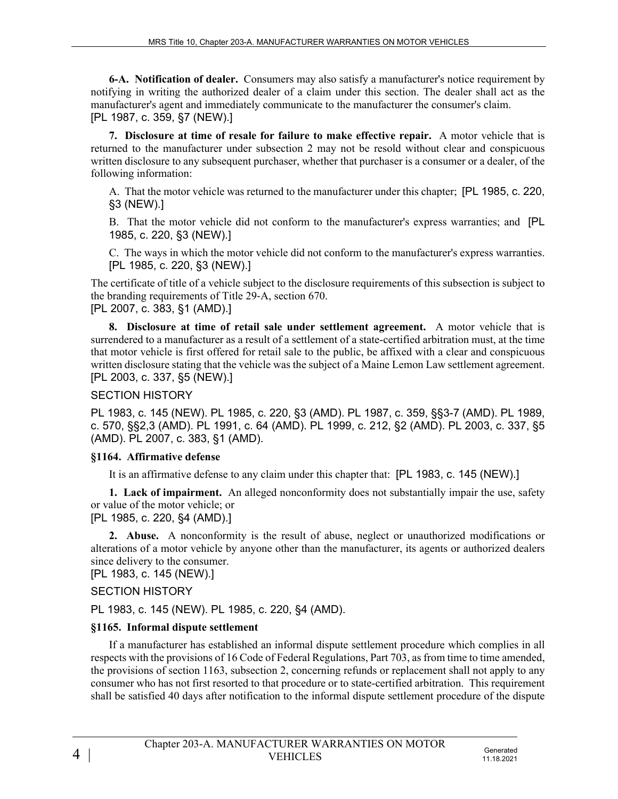**6-A. Notification of dealer.** Consumers may also satisfy a manufacturer's notice requirement by notifying in writing the authorized dealer of a claim under this section. The dealer shall act as the manufacturer's agent and immediately communicate to the manufacturer the consumer's claim. [PL 1987, c. 359, §7 (NEW).]

**7. Disclosure at time of resale for failure to make effective repair.** A motor vehicle that is returned to the manufacturer under subsection 2 may not be resold without clear and conspicuous written disclosure to any subsequent purchaser, whether that purchaser is a consumer or a dealer, of the following information:

A. That the motor vehicle was returned to the manufacturer under this chapter; [PL 1985, c. 220, §3 (NEW).]

B. That the motor vehicle did not conform to the manufacturer's express warranties; and [PL 1985, c. 220, §3 (NEW).]

C. The ways in which the motor vehicle did not conform to the manufacturer's express warranties. [PL 1985, c. 220, §3 (NEW).]

The certificate of title of a vehicle subject to the disclosure requirements of this subsection is subject to the branding requirements of Title 29‑A, section 670. [PL 2007, c. 383, §1 (AMD).]

**8. Disclosure at time of retail sale under settlement agreement.** A motor vehicle that is surrendered to a manufacturer as a result of a settlement of a state-certified arbitration must, at the time that motor vehicle is first offered for retail sale to the public, be affixed with a clear and conspicuous written disclosure stating that the vehicle was the subject of a Maine Lemon Law settlement agreement. [PL 2003, c. 337, §5 (NEW).]

## SECTION HISTORY

PL 1983, c. 145 (NEW). PL 1985, c. 220, §3 (AMD). PL 1987, c. 359, §§3-7 (AMD). PL 1989, c. 570, §§2,3 (AMD). PL 1991, c. 64 (AMD). PL 1999, c. 212, §2 (AMD). PL 2003, c. 337, §5 (AMD). PL 2007, c. 383, §1 (AMD).

## **§1164. Affirmative defense**

It is an affirmative defense to any claim under this chapter that: [PL 1983, c. 145 (NEW).]

**1. Lack of impairment.** An alleged nonconformity does not substantially impair the use, safety or value of the motor vehicle; or [PL 1985, c. 220, §4 (AMD).]

**2. Abuse.** A nonconformity is the result of abuse, neglect or unauthorized modifications or alterations of a motor vehicle by anyone other than the manufacturer, its agents or authorized dealers since delivery to the consumer.

[PL 1983, c. 145 (NEW).]

## SECTION HISTORY

PL 1983, c. 145 (NEW). PL 1985, c. 220, §4 (AMD).

# **§1165. Informal dispute settlement**

If a manufacturer has established an informal dispute settlement procedure which complies in all respects with the provisions of 16 Code of Federal Regulations, Part 703, as from time to time amended, the provisions of section 1163, subsection 2, concerning refunds or replacement shall not apply to any consumer who has not first resorted to that procedure or to state-certified arbitration. This requirement shall be satisfied 40 days after notification to the informal dispute settlement procedure of the dispute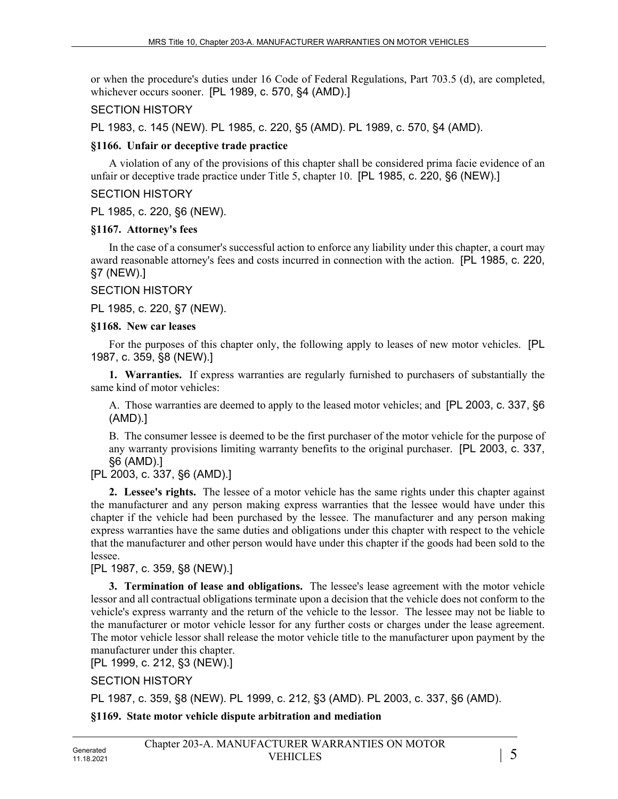or when the procedure's duties under 16 Code of Federal Regulations, Part 703.5 (d), are completed, whichever occurs sooner. [PL 1989, c. 570, §4 (AMD).]

#### SECTION HISTORY

PL 1983, c. 145 (NEW). PL 1985, c. 220, §5 (AMD). PL 1989, c. 570, §4 (AMD).

#### **§1166. Unfair or deceptive trade practice**

A violation of any of the provisions of this chapter shall be considered prima facie evidence of an unfair or deceptive trade practice under Title 5, chapter 10. [PL 1985, c. 220, §6 (NEW).]

#### SECTION HISTORY

PL 1985, c. 220, §6 (NEW).

#### **§1167. Attorney's fees**

In the case of a consumer's successful action to enforce any liability under this chapter, a court may award reasonable attorney's fees and costs incurred in connection with the action. [PL 1985, c. 220, §7 (NEW).]

#### SECTION HISTORY

PL 1985, c. 220, §7 (NEW).

#### **§1168. New car leases**

For the purposes of this chapter only, the following apply to leases of new motor vehicles. [PL 1987, c. 359, §8 (NEW).]

**1. Warranties.** If express warranties are regularly furnished to purchasers of substantially the same kind of motor vehicles:

A. Those warranties are deemed to apply to the leased motor vehicles; and [PL 2003, c. 337, §6 (AMD).]

B. The consumer lessee is deemed to be the first purchaser of the motor vehicle for the purpose of any warranty provisions limiting warranty benefits to the original purchaser. [PL 2003, c. 337, §6 (AMD).]

## [PL 2003, c. 337, §6 (AMD).]

**2. Lessee's rights.** The lessee of a motor vehicle has the same rights under this chapter against the manufacturer and any person making express warranties that the lessee would have under this chapter if the vehicle had been purchased by the lessee. The manufacturer and any person making express warranties have the same duties and obligations under this chapter with respect to the vehicle that the manufacturer and other person would have under this chapter if the goods had been sold to the lessee.

## [PL 1987, c. 359, §8 (NEW).]

**3. Termination of lease and obligations.** The lessee's lease agreement with the motor vehicle lessor and all contractual obligations terminate upon a decision that the vehicle does not conform to the vehicle's express warranty and the return of the vehicle to the lessor. The lessee may not be liable to the manufacturer or motor vehicle lessor for any further costs or charges under the lease agreement. The motor vehicle lessor shall release the motor vehicle title to the manufacturer upon payment by the manufacturer under this chapter.

[PL 1999, c. 212, §3 (NEW).]

SECTION HISTORY

PL 1987, c. 359, §8 (NEW). PL 1999, c. 212, §3 (AMD). PL 2003, c. 337, §6 (AMD).

## **§1169. State motor vehicle dispute arbitration and mediation**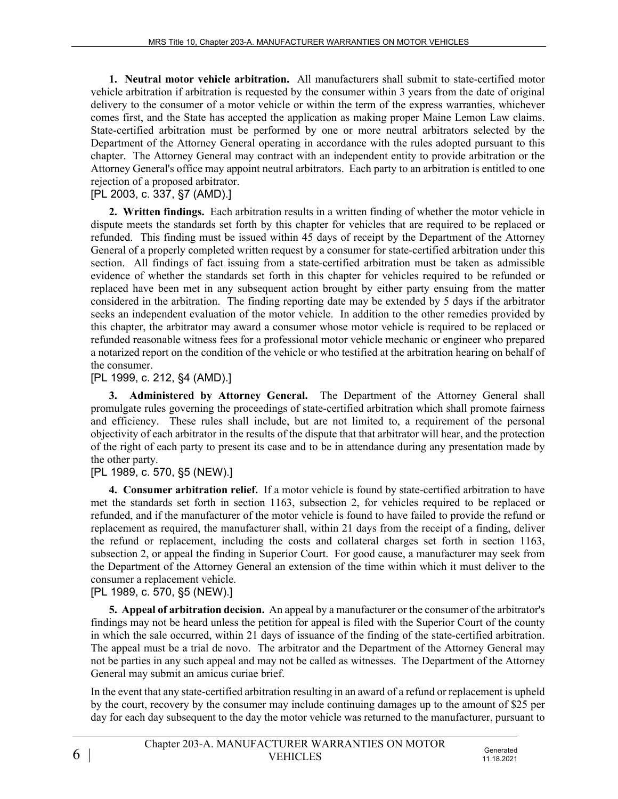**1. Neutral motor vehicle arbitration.** All manufacturers shall submit to state-certified motor vehicle arbitration if arbitration is requested by the consumer within 3 years from the date of original delivery to the consumer of a motor vehicle or within the term of the express warranties, whichever comes first, and the State has accepted the application as making proper Maine Lemon Law claims. State-certified arbitration must be performed by one or more neutral arbitrators selected by the Department of the Attorney General operating in accordance with the rules adopted pursuant to this chapter. The Attorney General may contract with an independent entity to provide arbitration or the Attorney General's office may appoint neutral arbitrators. Each party to an arbitration is entitled to one rejection of a proposed arbitrator.

### [PL 2003, c. 337, §7 (AMD).]

**2. Written findings.** Each arbitration results in a written finding of whether the motor vehicle in dispute meets the standards set forth by this chapter for vehicles that are required to be replaced or refunded. This finding must be issued within 45 days of receipt by the Department of the Attorney General of a properly completed written request by a consumer for state-certified arbitration under this section. All findings of fact issuing from a state-certified arbitration must be taken as admissible evidence of whether the standards set forth in this chapter for vehicles required to be refunded or replaced have been met in any subsequent action brought by either party ensuing from the matter considered in the arbitration. The finding reporting date may be extended by 5 days if the arbitrator seeks an independent evaluation of the motor vehicle. In addition to the other remedies provided by this chapter, the arbitrator may award a consumer whose motor vehicle is required to be replaced or refunded reasonable witness fees for a professional motor vehicle mechanic or engineer who prepared a notarized report on the condition of the vehicle or who testified at the arbitration hearing on behalf of the consumer.

[PL 1999, c. 212, §4 (AMD).]

**3. Administered by Attorney General.** The Department of the Attorney General shall promulgate rules governing the proceedings of state-certified arbitration which shall promote fairness and efficiency. These rules shall include, but are not limited to, a requirement of the personal objectivity of each arbitrator in the results of the dispute that that arbitrator will hear, and the protection of the right of each party to present its case and to be in attendance during any presentation made by the other party.

## [PL 1989, c. 570, §5 (NEW).]

**4. Consumer arbitration relief.** If a motor vehicle is found by state-certified arbitration to have met the standards set forth in section 1163, subsection 2, for vehicles required to be replaced or refunded, and if the manufacturer of the motor vehicle is found to have failed to provide the refund or replacement as required, the manufacturer shall, within 21 days from the receipt of a finding, deliver the refund or replacement, including the costs and collateral charges set forth in section 1163, subsection 2, or appeal the finding in Superior Court. For good cause, a manufacturer may seek from the Department of the Attorney General an extension of the time within which it must deliver to the consumer a replacement vehicle.

## [PL 1989, c. 570, §5 (NEW).]

**5. Appeal of arbitration decision.** An appeal by a manufacturer or the consumer of the arbitrator's findings may not be heard unless the petition for appeal is filed with the Superior Court of the county in which the sale occurred, within 21 days of issuance of the finding of the state-certified arbitration. The appeal must be a trial de novo. The arbitrator and the Department of the Attorney General may not be parties in any such appeal and may not be called as witnesses. The Department of the Attorney General may submit an amicus curiae brief.

In the event that any state-certified arbitration resulting in an award of a refund or replacement is upheld by the court, recovery by the consumer may include continuing damages up to the amount of \$25 per day for each day subsequent to the day the motor vehicle was returned to the manufacturer, pursuant to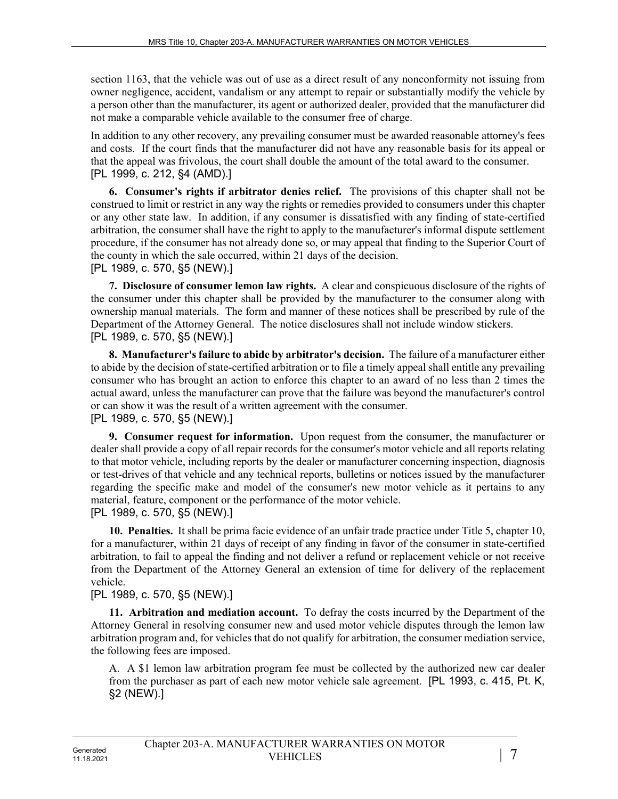section 1163, that the vehicle was out of use as a direct result of any nonconformity not issuing from owner negligence, accident, vandalism or any attempt to repair or substantially modify the vehicle by a person other than the manufacturer, its agent or authorized dealer, provided that the manufacturer did not make a comparable vehicle available to the consumer free of charge.

In addition to any other recovery, any prevailing consumer must be awarded reasonable attorney's fees and costs. If the court finds that the manufacturer did not have any reasonable basis for its appeal or that the appeal was frivolous, the court shall double the amount of the total award to the consumer. [PL 1999, c. 212, §4 (AMD).]

**6. Consumer's rights if arbitrator denies relief.** The provisions of this chapter shall not be construed to limit or restrict in any way the rights or remedies provided to consumers under this chapter or any other state law. In addition, if any consumer is dissatisfied with any finding of state-certified arbitration, the consumer shall have the right to apply to the manufacturer's informal dispute settlement procedure, if the consumer has not already done so, or may appeal that finding to the Superior Court of the county in which the sale occurred, within 21 days of the decision. [PL 1989, c. 570, §5 (NEW).]

**7. Disclosure of consumer lemon law rights.** A clear and conspicuous disclosure of the rights of the consumer under this chapter shall be provided by the manufacturer to the consumer along with ownership manual materials. The form and manner of these notices shall be prescribed by rule of the Department of the Attorney General. The notice disclosures shall not include window stickers. [PL 1989, c. 570, §5 (NEW).]

**8. Manufacturer's failure to abide by arbitrator's decision.** The failure of a manufacturer either to abide by the decision of state-certified arbitration or to file a timely appeal shall entitle any prevailing consumer who has brought an action to enforce this chapter to an award of no less than 2 times the actual award, unless the manufacturer can prove that the failure was beyond the manufacturer's control or can show it was the result of a written agreement with the consumer. [PL 1989, c. 570, §5 (NEW).]

**9. Consumer request for information.** Upon request from the consumer, the manufacturer or dealer shall provide a copy of all repair records for the consumer's motor vehicle and all reports relating to that motor vehicle, including reports by the dealer or manufacturer concerning inspection, diagnosis or test-drives of that vehicle and any technical reports, bulletins or notices issued by the manufacturer regarding the specific make and model of the consumer's new motor vehicle as it pertains to any material, feature, component or the performance of the motor vehicle.

[PL 1989, c. 570, §5 (NEW).]

**10. Penalties.** It shall be prima facie evidence of an unfair trade practice under Title 5, chapter 10, for a manufacturer, within 21 days of receipt of any finding in favor of the consumer in state-certified arbitration, to fail to appeal the finding and not deliver a refund or replacement vehicle or not receive from the Department of the Attorney General an extension of time for delivery of the replacement vehicle.

[PL 1989, c. 570, §5 (NEW).]

**11. Arbitration and mediation account.** To defray the costs incurred by the Department of the Attorney General in resolving consumer new and used motor vehicle disputes through the lemon law arbitration program and, for vehicles that do not qualify for arbitration, the consumer mediation service, the following fees are imposed.

A. A \$1 lemon law arbitration program fee must be collected by the authorized new car dealer from the purchaser as part of each new motor vehicle sale agreement. [PL 1993, c. 415, Pt. K, §2 (NEW).]